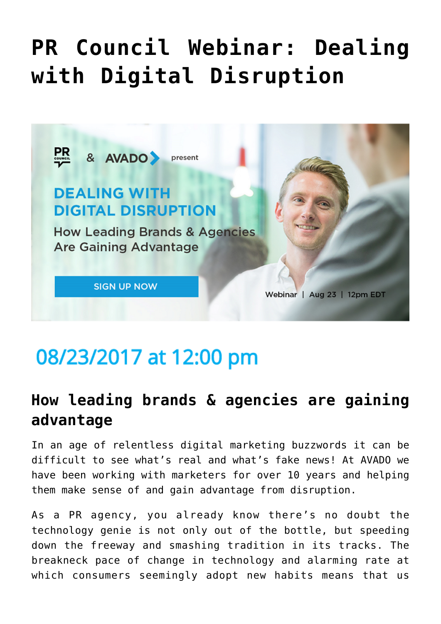# **[PR Council Webinar: Dealing](https://www.commpro.biz/pr-council-webinar-dealing-with-digital-disruption/) [with Digital Disruption](https://www.commpro.biz/pr-council-webinar-dealing-with-digital-disruption/)**



# 08/23/2017 at 12:00 pm

## **How leading brands & agencies are gaining advantage**

In an age of relentless digital marketing buzzwords it can be difficult to see what's real and what's fake news! At AVADO we have been working with marketers for over 10 years and helping them make sense of and gain advantage from disruption.

As a PR agency, you already know there's no doubt the technology genie is not only out of the bottle, but speeding down the freeway and smashing tradition in its tracks. The breakneck pace of change in technology and alarming rate at which consumers seemingly adopt new habits means that us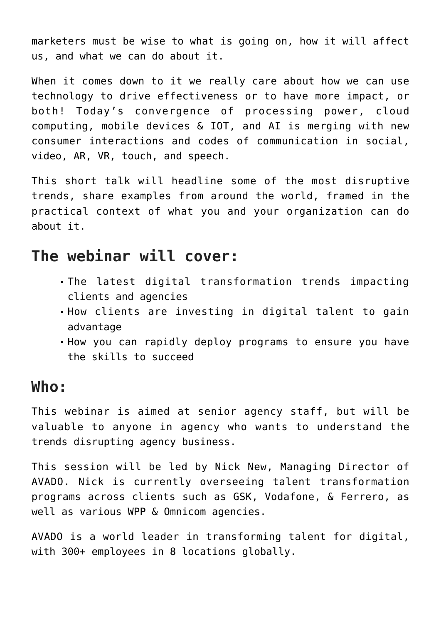marketers must be wise to what is going on, how it will affect us, and what we can do about it.

When it comes down to it we really care about how we can use technology to drive effectiveness or to have more impact, or both! Today's convergence of processing power, cloud computing, mobile devices & IOT, and AI is merging with new consumer interactions and codes of communication in social, video, AR, VR, touch, and speech.

This short talk will headline some of the most disruptive trends, share examples from around the world, framed in the practical context of what you and your organization can do about it.

### **The webinar will cover:**

- The latest digital transformation trends impacting clients and agencies
- How clients are investing in digital talent to gain advantage
- How you can rapidly deploy programs to ensure you have the skills to succeed

#### **Who:**

This webinar is aimed at senior agency staff, but will be valuable to anyone in agency who wants to understand the trends disrupting agency business.

This session will be led by Nick New, Managing Director of AVADO. Nick is currently overseeing talent transformation programs across clients such as GSK, Vodafone, & Ferrero, as well as various WPP & Omnicom agencies.

AVADO is a world leader in transforming talent for digital, with 300+ employees in 8 locations globally.